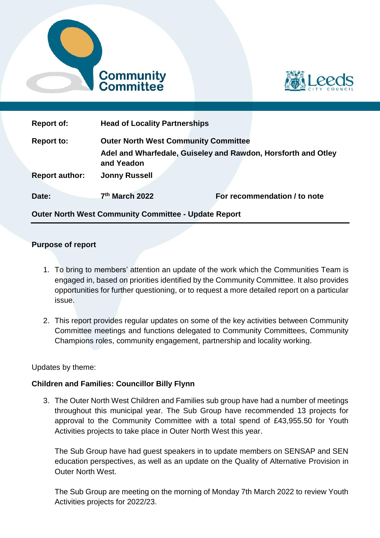



| <b>Report of:</b>     | <b>Head of Locality Partnerships</b>                                        |                              |
|-----------------------|-----------------------------------------------------------------------------|------------------------------|
| <b>Report to:</b>     | <b>Outer North West Community Committee</b>                                 |                              |
|                       | Adel and Wharfedale, Guiseley and Rawdon, Horsforth and Otley<br>and Yeadon |                              |
| <b>Report author:</b> | <b>Jonny Russell</b>                                                        |                              |
| Date:                 | 7th March 2022                                                              | For recommendation / to note |

**Outer North West Community Committee - Update Report** 

# **Purpose of report**

- 1. To bring to members' attention an update of the work which the Communities Team is engaged in, based on priorities identified by the Community Committee. It also provides opportunities for further questioning, or to request a more detailed report on a particular issue.
- 2. This report provides regular updates on some of the key activities between Community Committee meetings and functions delegated to Community Committees, Community Champions roles, community engagement, partnership and locality working.

# Updates by theme:

# **Children and Families: Councillor Billy Flynn**

3. The Outer North West Children and Families sub group have had a number of meetings throughout this municipal year. The Sub Group have recommended 13 projects for approval to the Community Committee with a total spend of £43,955.50 for Youth Activities projects to take place in Outer North West this year.

The Sub Group have had guest speakers in to update members on SENSAP and SEN education perspectives, as well as an update on the Quality of Alternative Provision in Outer North West.

The Sub Group are meeting on the morning of Monday 7th March 2022 to review Youth Activities projects for 2022/23.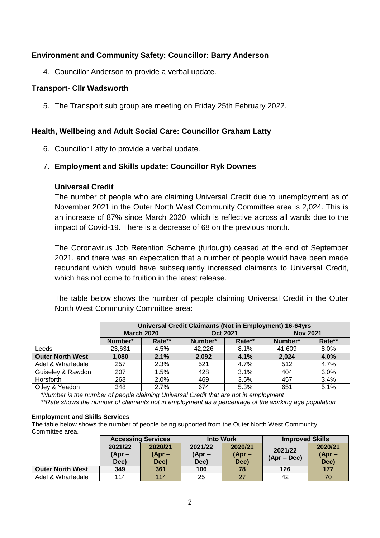# **Environment and Community Safety: Councillor: Barry Anderson**

4. Councillor Anderson to provide a verbal update.

### **Transport- Cllr Wadsworth**

5. The Transport sub group are meeting on Friday 25th February 2022.

### **Health, Wellbeing and Adult Social Care: Councillor Graham Latty**

6. Councillor Latty to provide a verbal update.

#### 7. **Employment and Skills update: Councillor Ryk Downes**

#### **Universal Credit**

The number of people who are claiming Universal Credit due to unemployment as of November 2021 in the Outer North West Community Committee area is 2,024. This is an increase of 87% since March 2020, which is reflective across all wards due to the impact of Covid-19. There is a decrease of 68 on the previous month.

The Coronavirus Job Retention Scheme (furlough) ceased at the end of September 2021, and there was an expectation that a number of people would have been made redundant which would have subsequently increased claimants to Universal Credit, which has not come to fruition in the latest release.

The table below shows the number of people claiming Universal Credit in the Outer North West Community Committee area:

|                         |                   | Universal Credit Claimants (Not in Employment) 16-64yrs |                 |        |                 |        |  |  |
|-------------------------|-------------------|---------------------------------------------------------|-----------------|--------|-----------------|--------|--|--|
|                         | <b>March 2020</b> |                                                         | <b>Oct 2021</b> |        | <b>Nov 2021</b> |        |  |  |
|                         | Number*           | Rate**                                                  | Number*         | Rate** | Number*         | Rate** |  |  |
| Leeds                   | 23,631            | 4.5%                                                    | 42,226          | 8.1%   | 41,609          | 8.0%   |  |  |
| <b>Outer North West</b> | 2.1%<br>1,080     |                                                         | 2,092           | 4.1%   | 2,024           | 4.0%   |  |  |
| Adel & Wharfedale       | 257               | 2.3%                                                    | 521             | 4.7%   | 512             | 4.7%   |  |  |
| Guiseley & Rawdon       | 207               | 1.5%                                                    | 428             | 3.1%   | 404             | 3.0%   |  |  |
| Horsforth               | 268               | 2.0%                                                    | 469             | 3.5%   | 457             | 3.4%   |  |  |
| Otley & Yeadon          | 674               | 5.3%                                                    | 651             | 5.1%   |                 |        |  |  |

*\*Number is the number of people claiming Universal Credit that are not in employment* 

*\*\*Rate shows the number of claimants not in employment as a percentage of the working age population*

#### **Employment and Skills Services**

The table below shows the number of people being supported from the Outer North West Community Committee area.

|                         | <b>Accessing Services</b> |         | <b>Into Work</b> |          | <b>Improved Skills</b> |          |
|-------------------------|---------------------------|---------|------------------|----------|------------------------|----------|
|                         | 2021/22                   | 2020/21 | 2021/22          | 2020/21  | 2021/22                | 2020/21  |
|                         | (Apr –                    | (Apr –  | $(Apr -$         | $(Apr -$ |                        | $(Apr -$ |
|                         | Dec)                      | Dec)    | Dec)             | Dec)     | $(Apr - Dec)$          | Dec)     |
| <b>Outer North West</b> | 349                       | 361     | 106              | 78       | 126                    | 177      |
| Adel & Wharfedale       | 114                       | 114     | 25               | 27       | 42                     | 70       |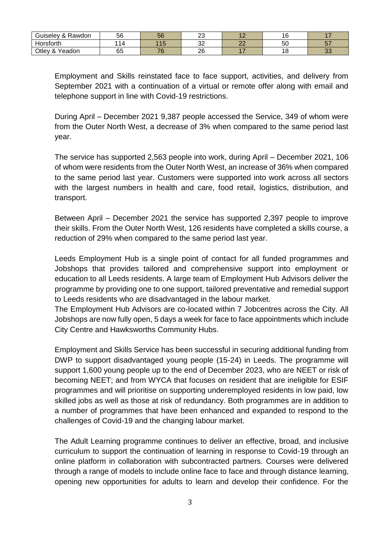| $\sqrt{2}$<br>Guiseley<br>&<br>Rawdon | 56                       | 56                    | $\sim$<br>້ |                          | $\overline{\phantom{a}}$<br>ັ       | . .            |
|---------------------------------------|--------------------------|-----------------------|-------------|--------------------------|-------------------------------------|----------------|
| Iorsforth                             | $\overline{\phantom{a}}$ | AC<br>- -             | ົ<br>ັ      | $\sim$<br>--             | oυ                                  | $- -$<br>ິ     |
| Otley<br>- & Y<br>Yeadon              | 65                       | 7C<br><b>CONTRACT</b> | າຂ<br>∠ບ    | $\overline{\phantom{a}}$ | $\overline{A}$ $\overline{C}$<br>ັບ | $\Omega$<br>◡◡ |

Employment and Skills reinstated face to face support, activities, and delivery from September 2021 with a continuation of a virtual or remote offer along with email and telephone support in line with Covid-19 restrictions.

During April – December 2021 9,387 people accessed the Service, 349 of whom were from the Outer North West, a decrease of 3% when compared to the same period last year.

The service has supported 2,563 people into work, during April – December 2021, 106 of whom were residents from the Outer North West, an increase of 36% when compared to the same period last year. Customers were supported into work across all sectors with the largest numbers in health and care, food retail, logistics, distribution, and transport.

Between April – December 2021 the service has supported 2,397 people to improve their skills. From the Outer North West, 126 residents have completed a skills course, a reduction of 29% when compared to the same period last year.

Leeds Employment Hub is a single point of contact for all funded programmes and Jobshops that provides tailored and comprehensive support into employment or education to all Leeds residents. A large team of Employment Hub Advisors deliver the programme by providing one to one support, tailored preventative and remedial support to Leeds residents who are disadvantaged in the labour market.

The Employment Hub Advisors are co-located within 7 Jobcentres across the City. All Jobshops are now fully open, 5 days a week for face to face appointments which include City Centre and Hawksworths Community Hubs.

Employment and Skills Service has been successful in securing additional funding from DWP to support disadvantaged young people (15-24) in Leeds. The programme will support 1,600 young people up to the end of December 2023, who are NEET or risk of becoming NEET; and from WYCA that focuses on resident that are ineligible for ESIF programmes and will prioritise on supporting underemployed residents in low paid, low skilled jobs as well as those at risk of redundancy. Both programmes are in addition to a number of programmes that have been enhanced and expanded to respond to the challenges of Covid-19 and the changing labour market.

The Adult Learning programme continues to deliver an effective, broad, and inclusive curriculum to support the continuation of learning in response to Covid-19 through an online platform in collaboration with subcontracted partners. Courses were delivered through a range of models to include online face to face and through distance learning, opening new opportunities for adults to learn and develop their confidence. For the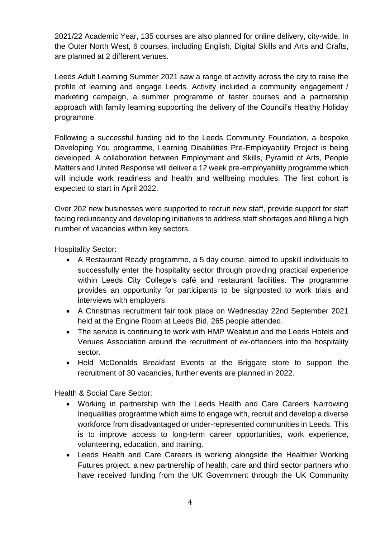2021/22 Academic Year, 135 courses are also planned for online delivery, city-wide. In the Outer North West, 6 courses, including English, Digital Skills and Arts and Crafts, are planned at 2 different venues.

Leeds Adult Learning Summer 2021 saw a range of activity across the city to raise the profile of learning and engage Leeds. Activity included a community engagement / marketing campaign, a summer programme of taster courses and a partnership approach with family learning supporting the delivery of the Council's Healthy Holiday programme.

Following a successful funding bid to the Leeds Community Foundation, a bespoke Developing You programme, Learning Disabilities Pre-Employability Project is being developed. A collaboration between Employment and Skills, Pyramid of Arts, People Matters and United Response will deliver a 12 week pre-employability programme which will include work readiness and health and wellbeing modules. The first cohort is expected to start in April 2022.

Over 202 new businesses were supported to recruit new staff, provide support for staff facing redundancy and developing initiatives to address staff shortages and filling a high number of vacancies within key sectors.

Hospitality Sector:

- A Restaurant Ready programme, a 5 day course, aimed to upskill individuals to successfully enter the hospitality sector through providing practical experience within Leeds City College's café and restaurant facilities. The programme provides an opportunity for participants to be signposted to work trials and interviews with employers.
- A Christmas recruitment fair took place on Wednesday 22nd September 2021 held at the Engine Room at Leeds Bid, 265 people attended.
- The service is continuing to work with HMP Wealstun and the Leeds Hotels and Venues Association around the recruitment of ex-offenders into the hospitality sector.
- Held McDonalds Breakfast Events at the Briggate store to support the recruitment of 30 vacancies, further events are planned in 2022.

Health & Social Care Sector:

- Working in partnership with the Leeds Health and Care Careers Narrowing Inequalities programme which aims to engage with, recruit and develop a diverse workforce from disadvantaged or under-represented communities in Leeds. This is to improve access to long-term career opportunities, work experience, volunteering, education, and training.
- Leeds Health and Care Careers is working alongside the [Healthier Working](https://leedshealthandcareacademy.org/news/healthier-working-futures/)  [Futures](https://leedshealthandcareacademy.org/news/healthier-working-futures/) project, a new partnership of health, care and third sector partners who have received funding from the UK Government through the UK Community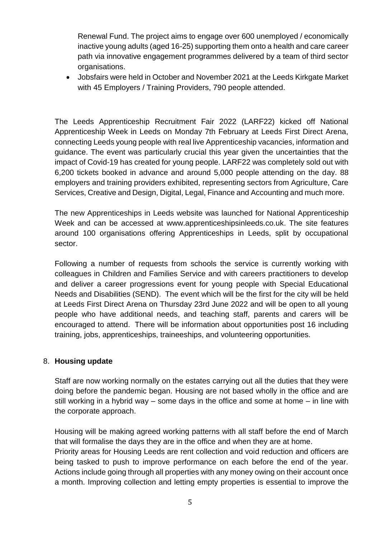Renewal Fund. The project aims to engage over 600 unemployed / economically inactive young adults (aged 16-25) supporting them onto a health and care career path via innovative engagement programmes delivered by a team of third sector organisations.

 Jobsfairs were held in October and November 2021 at the Leeds Kirkgate Market with 45 Employers / Training Providers, 790 people attended.

The Leeds Apprenticeship Recruitment Fair 2022 (LARF22) kicked off National Apprenticeship Week in Leeds on Monday 7th February at Leeds First Direct Arena, connecting Leeds young people with real live Apprenticeship vacancies, information and guidance. The event was particularly crucial this year given the uncertainties that the impact of Covid-19 has created for young people. LARF22 was completely sold out with 6,200 tickets booked in advance and around 5,000 people attending on the day. 88 employers and training providers exhibited, representing sectors from Agriculture, Care Services, Creative and Design, Digital, Legal, Finance and Accounting and much more.

The new Apprenticeships in Leeds website was launched for National Apprenticeship Week and can be accessed at [www.apprenticeshipsinleeds.co.uk.](http://www.apprenticeshipsinleeds.co.uk/) The site features around 100 organisations offering Apprenticeships in Leeds, split by occupational sector.

Following a number of requests from schools the service is currently working with colleagues in Children and Families Service and with careers practitioners to develop and deliver a career progressions event for young people with Special Educational Needs and Disabilities (SEND). The event which will be the first for the city will be held at Leeds First Direct Arena on Thursday 23rd June 2022 and will be open to all young people who have additional needs, and teaching staff, parents and carers will be encouraged to attend. There will be information about opportunities post 16 including training, jobs, apprenticeships, traineeships, and volunteering opportunities.

# 8. **Housing update**

Staff are now working normally on the estates carrying out all the duties that they were doing before the pandemic began. Housing are not based wholly in the office and are still working in a hybrid way – some days in the office and some at home – in line with the corporate approach.

Housing will be making agreed working patterns with all staff before the end of March that will formalise the days they are in the office and when they are at home. Priority areas for Housing Leeds are rent collection and void reduction and officers are being tasked to push to improve performance on each before the end of the year. Actions include going through all properties with any money owing on their account once a month. Improving collection and letting empty properties is essential to improve the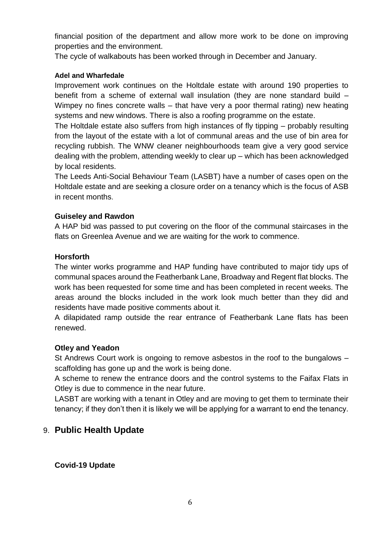financial position of the department and allow more work to be done on improving properties and the environment.

The cycle of walkabouts has been worked through in December and January.

# **Adel and Wharfedale**

Improvement work continues on the Holtdale estate with around 190 properties to benefit from a scheme of external wall insulation (they are none standard build – Wimpey no fines concrete walls – that have very a poor thermal rating) new heating systems and new windows. There is also a roofing programme on the estate.

The Holtdale estate also suffers from high instances of fly tipping – probably resulting from the layout of the estate with a lot of communal areas and the use of bin area for recycling rubbish. The WNW cleaner neighbourhoods team give a very good service dealing with the problem, attending weekly to clear up – which has been acknowledged by local residents.

The Leeds Anti-Social Behaviour Team (LASBT) have a number of cases open on the Holtdale estate and are seeking a closure order on a tenancy which is the focus of ASB in recent months.

# **Guiseley and Rawdon**

A HAP bid was passed to put covering on the floor of the communal staircases in the flats on Greenlea Avenue and we are waiting for the work to commence.

# **Horsforth**

The winter works programme and HAP funding have contributed to major tidy ups of communal spaces around the Featherbank Lane, Broadway and Regent flat blocks. The work has been requested for some time and has been completed in recent weeks. The areas around the blocks included in the work look much better than they did and residents have made positive comments about it.

A dilapidated ramp outside the rear entrance of Featherbank Lane flats has been renewed.

### **Otley and Yeadon**

St Andrews Court work is ongoing to remove asbestos in the roof to the bungalows – scaffolding has gone up and the work is being done.

A scheme to renew the entrance doors and the control systems to the Faifax Flats in Otley is due to commence in the near future.

LASBT are working with a tenant in Otley and are moving to get them to terminate their tenancy; if they don't then it is likely we will be applying for a warrant to end the tenancy.

# 9. **Public Health Update**

# **Covid-19 Update**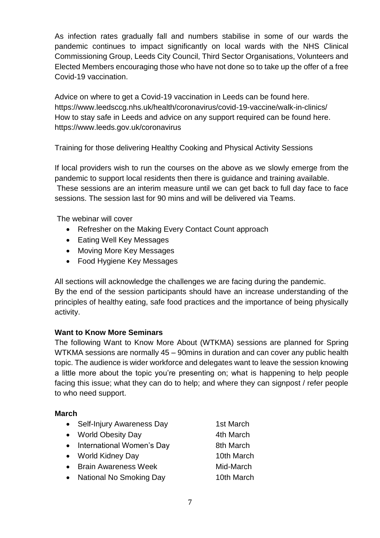As infection rates gradually fall and numbers stabilise in some of our wards the pandemic continues to impact significantly on local wards with the NHS Clinical Commissioning Group, Leeds City Council, Third Sector Organisations, Volunteers and Elected Members encouraging those who have not done so to take up the offer of a free Covid-19 vaccination.

Advice on where to get a Covid-19 vaccination in Leeds can be found here. https://www.leedsccg.nhs.uk/health/coronavirus/covid-19-vaccine/walk-in-clinics/ How to stay safe in Leeds and advice on any support required can be found here. https://www.leeds.gov.uk/coronavirus

Training for those delivering Healthy Cooking and Physical Activity Sessions

If local providers wish to run the courses on the above as we slowly emerge from the pandemic to support local residents then there is guidance and training available. These sessions are an interim measure until we can get back to full day face to face sessions. The session last for 90 mins and will be delivered via Teams.

The webinar will cover

- Refresher on the Making Every Contact Count approach
- Eating Well Key Messages
- Moving More Key Messages
- Food Hygiene Key Messages

All sections will acknowledge the challenges we are facing during the pandemic. By the end of the session participants should have an increase understanding of the principles of healthy eating, safe food practices and the importance of being physically activity.

# **Want to Know More Seminars**

The following Want to Know More About (WTKMA) sessions are planned for Spring WTKMA sessions are normally 45 – 90mins in duration and can cover any public health topic. The audience is wider workforce and delegates want to leave the session knowing a little more about the topic you're presenting on; what is happening to help people facing this issue; what they can do to help; and where they can signpost / refer people to who need support.

# **March**

| • Self-Injury Awareness Day | 1st March  |
|-----------------------------|------------|
| • World Obesity Day         | 4th March  |
| • International Women's Day | 8th March  |
| • World Kidney Day          | 10th March |
| • Brain Awareness Week      | Mid-March  |
|                             |            |

• National No Smoking Day 10th March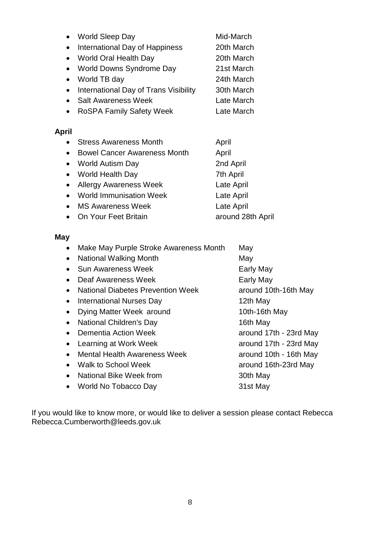|           | World Sleep Day                       | Mid-March  |
|-----------|---------------------------------------|------------|
| $\bullet$ | International Day of Happiness        | 20th March |
|           | • World Oral Health Day               | 20th March |
|           | • World Downs Syndrome Day            | 21st March |
| $\bullet$ | World TB day                          | 24th March |
|           | International Day of Trans Visibility | 30th March |
|           | <b>Salt Awareness Week</b>            | Late March |
|           | <b>RoSPA Family Safety Week</b>       | Late March |
|           |                                       |            |

# **April**

|           | <b>Stress Awareness Month</b>       | April             |
|-----------|-------------------------------------|-------------------|
| $\bullet$ | <b>Bowel Cancer Awareness Month</b> | April             |
|           | • World Autism Day                  | 2nd April         |
|           | • World Health Day                  | 7th April         |
|           | • Allergy Awareness Week            | Late April        |
|           | • World Immunisation Week           | Late April        |
|           | • MS Awareness Week                 | Late April        |
|           | • On Your Feet Britain              | around 28th April |
|           |                                     |                   |

# **May**

|           | Make May Purple Stroke Awareness Month   | May                    |
|-----------|------------------------------------------|------------------------|
|           | <b>National Walking Month</b>            | May                    |
|           | <b>Sun Awareness Week</b>                | Early May              |
|           | Deaf Awareness Week                      | Early May              |
|           | <b>National Diabetes Prevention Week</b> | around 10th-16th May   |
| $\bullet$ | International Nurses Day                 | 12th May               |
|           | Dying Matter Week around                 | 10th-16th May          |
|           | National Children's Day                  | 16th May               |
|           | Dementia Action Week                     | around 17th - 23rd May |
|           | Learning at Work Week                    | around 17th - 23rd May |
|           | <b>Mental Health Awareness Week</b>      | around 10th - 16th May |
| $\bullet$ | Walk to School Week                      | around 16th-23rd May   |
|           | National Bike Week from                  | 30th May               |
|           | World No Tobacco Day                     | 31st May               |
|           |                                          |                        |

If you would like to know more, or would like to deliver a session please contact Rebecca Rebecca.Cumberworth@leeds.gov.uk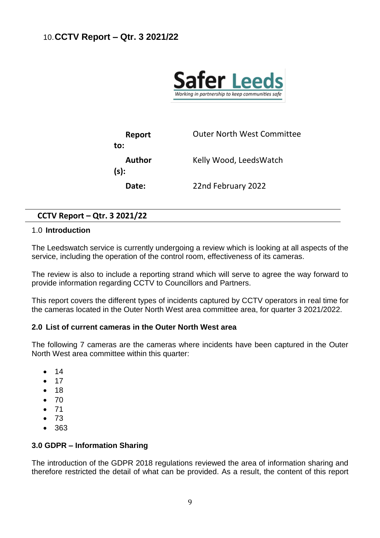

| Report            | <b>Outer North West Committee</b> |
|-------------------|-----------------------------------|
| to:               |                                   |
| Author<br>$(s)$ : | Kelly Wood, LeedsWatch            |
| Date:             | 22nd February 2022                |

# **CCTV Report – Qtr. 3 2021/22**

### 1.0 **Introduction**

The Leedswatch service is currently undergoing a review which is looking at all aspects of the service, including the operation of the control room, effectiveness of its cameras.

The review is also to include a reporting strand which will serve to agree the way forward to provide information regarding CCTV to Councillors and Partners.

This report covers the different types of incidents captured by CCTV operators in real time for the cameras located in the Outer North West area committee area, for quarter 3 2021/2022.

### **2.0 List of current cameras in the Outer North West area**

The following 7 cameras are the cameras where incidents have been captured in the Outer North West area committee within this quarter:

- 14
- $17$
- 18
- 70
- 71
- $73$
- 363

### **3.0 GDPR – Information Sharing**

The introduction of the GDPR 2018 regulations reviewed the area of information sharing and therefore restricted the detail of what can be provided. As a result, the content of this report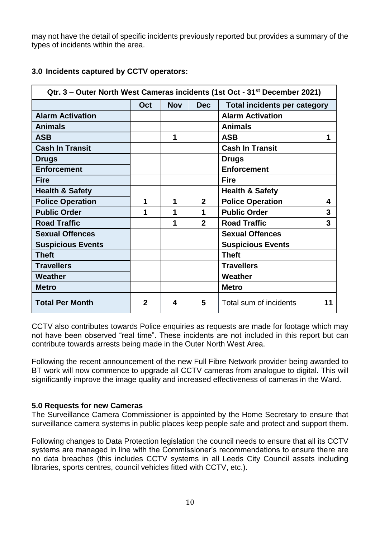may not have the detail of specific incidents previously reported but provides a summary of the types of incidents within the area.

| Qtr. 3 – Outer North West Cameras incidents (1st Oct - 31 <sup>st</sup> December 2021) |             |            |                |                                     |    |  |  |
|----------------------------------------------------------------------------------------|-------------|------------|----------------|-------------------------------------|----|--|--|
|                                                                                        | Oct         | <b>Nov</b> | <b>Dec</b>     | <b>Total incidents per category</b> |    |  |  |
| <b>Alarm Activation</b>                                                                |             |            |                | <b>Alarm Activation</b>             |    |  |  |
| <b>Animals</b>                                                                         |             |            |                | <b>Animals</b>                      |    |  |  |
| <b>ASB</b>                                                                             |             | 1          |                | <b>ASB</b>                          | 1  |  |  |
| <b>Cash In Transit</b>                                                                 |             |            |                | <b>Cash In Transit</b>              |    |  |  |
| <b>Drugs</b>                                                                           |             |            |                | <b>Drugs</b>                        |    |  |  |
| <b>Enforcement</b>                                                                     |             |            |                | <b>Enforcement</b>                  |    |  |  |
| <b>Fire</b>                                                                            |             |            |                | <b>Fire</b>                         |    |  |  |
| <b>Health &amp; Safety</b>                                                             |             |            |                | <b>Health &amp; Safety</b>          |    |  |  |
| <b>Police Operation</b>                                                                | 1           | 1          | $\overline{2}$ | <b>Police Operation</b>             | 4  |  |  |
| <b>Public Order</b>                                                                    | 1           | 1          | 1              | <b>Public Order</b>                 | 3  |  |  |
| <b>Road Traffic</b>                                                                    |             | 1          | $\mathbf{2}$   | <b>Road Traffic</b>                 | 3  |  |  |
| <b>Sexual Offences</b>                                                                 |             |            |                | <b>Sexual Offences</b>              |    |  |  |
| <b>Suspicious Events</b>                                                               |             |            |                | <b>Suspicious Events</b>            |    |  |  |
| <b>Theft</b>                                                                           |             |            |                | <b>Theft</b>                        |    |  |  |
| <b>Travellers</b>                                                                      |             |            |                | <b>Travellers</b>                   |    |  |  |
| Weather                                                                                |             |            |                | Weather                             |    |  |  |
| <b>Metro</b>                                                                           |             |            |                | <b>Metro</b>                        |    |  |  |
| <b>Total Per Month</b>                                                                 | $\mathbf 2$ | 4          | 5              | Total sum of incidents              | 11 |  |  |

# **3.0 Incidents captured by CCTV operators:**

CCTV also contributes towards Police enquiries as requests are made for footage which may not have been observed "real time". These incidents are not included in this report but can contribute towards arrests being made in the Outer North West Area.

Following the recent announcement of the new Full Fibre Network provider being awarded to BT work will now commence to upgrade all CCTV cameras from analogue to digital. This will significantly improve the image quality and increased effectiveness of cameras in the Ward.

### **5.0 Requests for new Cameras**

The Surveillance Camera Commissioner is appointed by the Home Secretary to ensure that surveillance camera systems in public places keep people safe and protect and support them.

Following changes to Data Protection legislation the council needs to ensure that all its CCTV systems are managed in line with the Commissioner's recommendations to ensure there are no data breaches (this includes CCTV systems in all Leeds City Council assets including libraries, sports centres, council vehicles fitted with CCTV, etc.).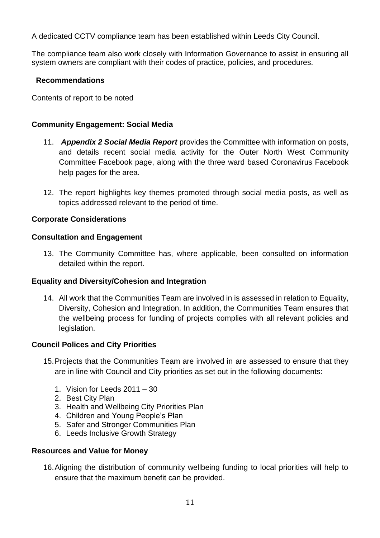A dedicated CCTV compliance team has been established within Leeds City Council.

The compliance team also work closely with Information Governance to assist in ensuring all system owners are compliant with their codes of practice, policies, and procedures.

# **Recommendations**

Contents of report to be noted

# **Community Engagement: Social Media**

- 11. *Appendix 2 Social Media Report* provides the Committee with information on posts, and details recent social media activity for the Outer North West Community Committee Facebook page, along with the three ward based Coronavirus Facebook help pages for the area.
- 12. The report highlights key themes promoted through social media posts, as well as topics addressed relevant to the period of time.

# **Corporate Considerations**

# **Consultation and Engagement**

13. The Community Committee has, where applicable, been consulted on information detailed within the report.

# **Equality and Diversity/Cohesion and Integration**

14. All work that the Communities Team are involved in is assessed in relation to Equality, Diversity, Cohesion and Integration. In addition, the Communities Team ensures that the wellbeing process for funding of projects complies with all relevant policies and legislation.

### **Council Polices and City Priorities**

- 15.Projects that the Communities Team are involved in are assessed to ensure that they are in line with Council and City priorities as set out in the following documents:
	- 1. Vision for Leeds 2011 30
	- 2. Best City Plan
	- 3. Health and Wellbeing City Priorities Plan
	- 4. Children and Young People's Plan
	- 5. Safer and Stronger Communities Plan
	- 6. Leeds Inclusive Growth Strategy

### **Resources and Value for Money**

16.Aligning the distribution of community wellbeing funding to local priorities will help to ensure that the maximum benefit can be provided.